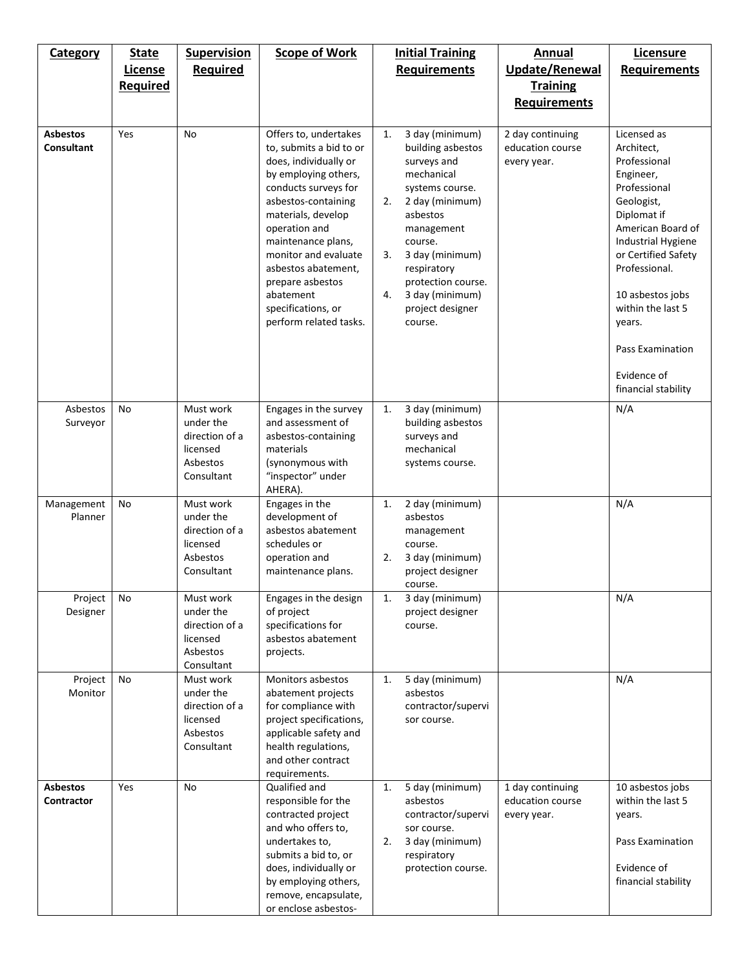| <b>Category</b>                      | <b>State</b><br>License<br><b>Required</b> | <b>Supervision</b><br><b>Required</b>                                          | <b>Scope of Work</b>                                                                                                                                                                                                                                                                                                                          | <b>Initial Training</b><br><b>Requirements</b>                                                                                                                                                                                                                                 | Annual<br><b>Update/Renewal</b><br><b>Training</b><br><b>Requirements</b> | Licensure<br><b>Requirements</b>                                                                                                                                                                                                                                                                    |
|--------------------------------------|--------------------------------------------|--------------------------------------------------------------------------------|-----------------------------------------------------------------------------------------------------------------------------------------------------------------------------------------------------------------------------------------------------------------------------------------------------------------------------------------------|--------------------------------------------------------------------------------------------------------------------------------------------------------------------------------------------------------------------------------------------------------------------------------|---------------------------------------------------------------------------|-----------------------------------------------------------------------------------------------------------------------------------------------------------------------------------------------------------------------------------------------------------------------------------------------------|
| <b>Asbestos</b><br><b>Consultant</b> | Yes                                        | No                                                                             | Offers to, undertakes<br>to, submits a bid to or<br>does, individually or<br>by employing others,<br>conducts surveys for<br>asbestos-containing<br>materials, develop<br>operation and<br>maintenance plans,<br>monitor and evaluate<br>asbestos abatement,<br>prepare asbestos<br>abatement<br>specifications, or<br>perform related tasks. | 3 day (minimum)<br>1.<br>building asbestos<br>surveys and<br>mechanical<br>systems course.<br>2.<br>2 day (minimum)<br>asbestos<br>management<br>course.<br>3 day (minimum)<br>3.<br>respiratory<br>protection course.<br>4.<br>3 day (minimum)<br>project designer<br>course. | 2 day continuing<br>education course<br>every year.                       | Licensed as<br>Architect,<br>Professional<br>Engineer,<br>Professional<br>Geologist,<br>Diplomat if<br>American Board of<br>Industrial Hygiene<br>or Certified Safety<br>Professional.<br>10 asbestos jobs<br>within the last 5<br>years.<br>Pass Examination<br>Evidence of<br>financial stability |
| Asbestos<br>Surveyor                 | No                                         | Must work<br>under the<br>direction of a<br>licensed<br>Asbestos<br>Consultant | Engages in the survey<br>and assessment of<br>asbestos-containing<br>materials<br>(synonymous with<br>"inspector" under<br>AHERA).                                                                                                                                                                                                            | 3 day (minimum)<br>1.<br>building asbestos<br>surveys and<br>mechanical<br>systems course.                                                                                                                                                                                     |                                                                           | N/A                                                                                                                                                                                                                                                                                                 |
| Management<br>Planner                | No                                         | Must work<br>under the<br>direction of a<br>licensed<br>Asbestos<br>Consultant | Engages in the<br>development of<br>asbestos abatement<br>schedules or<br>operation and<br>maintenance plans.                                                                                                                                                                                                                                 | 2 day (minimum)<br>1.<br>asbestos<br>management<br>course.<br>2.<br>3 day (minimum)<br>project designer<br>course.                                                                                                                                                             |                                                                           | N/A                                                                                                                                                                                                                                                                                                 |
| Project<br>Designer                  | No                                         | Must work<br>under the<br>direction of a<br>licensed<br>Asbestos<br>Consultant | Engages in the design<br>of project<br>specifications for<br>asbestos abatement<br>projects.                                                                                                                                                                                                                                                  | 3 day (minimum)<br>1.<br>project designer<br>course.                                                                                                                                                                                                                           |                                                                           | N/A                                                                                                                                                                                                                                                                                                 |
| Project<br>Monitor                   | No                                         | Must work<br>under the<br>direction of a<br>licensed<br>Asbestos<br>Consultant | Monitors asbestos<br>abatement projects<br>for compliance with<br>project specifications,<br>applicable safety and<br>health regulations,<br>and other contract<br>requirements.                                                                                                                                                              | 5 day (minimum)<br>1.<br>asbestos<br>contractor/supervi<br>sor course.                                                                                                                                                                                                         |                                                                           | N/A                                                                                                                                                                                                                                                                                                 |
| <b>Asbestos</b><br><b>Contractor</b> | Yes                                        | No                                                                             | Qualified and<br>responsible for the<br>contracted project<br>and who offers to,<br>undertakes to,<br>submits a bid to, or<br>does, individually or<br>by employing others,<br>remove, encapsulate,<br>or enclose asbestos-                                                                                                                   | 5 day (minimum)<br>1.<br>asbestos<br>contractor/supervi<br>sor course.<br>3 day (minimum)<br>2.<br>respiratory<br>protection course.                                                                                                                                           | 1 day continuing<br>education course<br>every year.                       | 10 asbestos jobs<br>within the last 5<br>years.<br>Pass Examination<br>Evidence of<br>financial stability                                                                                                                                                                                           |